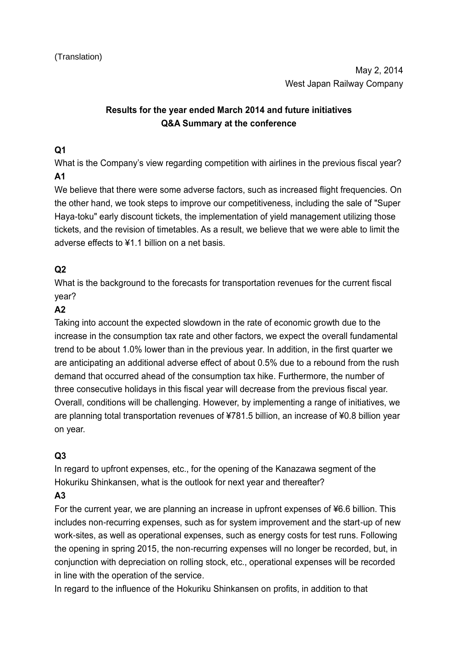# **Results for the year ended March 2014 and future initiatives Q&A Summary at the conference**

### **Q1**

What is the Company's view regarding competition with airlines in the previous fiscal year? **A1**

We believe that there were some adverse factors, such as increased flight frequencies. On the other hand, we took steps to improve our competitiveness, including the sale of "Super Haya-toku" early discount tickets, the implementation of yield management utilizing those tickets, and the revision of timetables. As a result, we believe that we were able to limit the adverse effects to ¥1.1 billion on a net basis.

## **Q2**

What is the background to the forecasts for transportation revenues for the current fiscal year?

#### **A2**

Taking into account the expected slowdown in the rate of economic growth due to the increase in the consumption tax rate and other factors, we expect the overall fundamental trend to be about 1.0% lower than in the previous year. In addition, in the first quarter we are anticipating an additional adverse effect of about 0.5% due to a rebound from the rush demand that occurred ahead of the consumption tax hike. Furthermore, the number of three consecutive holidays in this fiscal year will decrease from the previous fiscal year. Overall, conditions will be challenging. However, by implementing a range of initiatives, we are planning total transportation revenues of ¥781.5 billion, an increase of ¥0.8 billion year on year.

# **Q3**

In regard to upfront expenses, etc., for the opening of the Kanazawa segment of the Hokuriku Shinkansen, what is the outlook for next year and thereafter?

# **A3**

For the current year, we are planning an increase in upfront expenses of ¥6.6 billion. This includes non-recurring expenses, such as for system improvement and the start-up of new work-sites, as well as operational expenses, such as energy costs for test runs. Following the opening in spring 2015, the non-recurring expenses will no longer be recorded, but, in conjunction with depreciation on rolling stock, etc., operational expenses will be recorded in line with the operation of the service.

In regard to the influence of the Hokuriku Shinkansen on profits, in addition to that